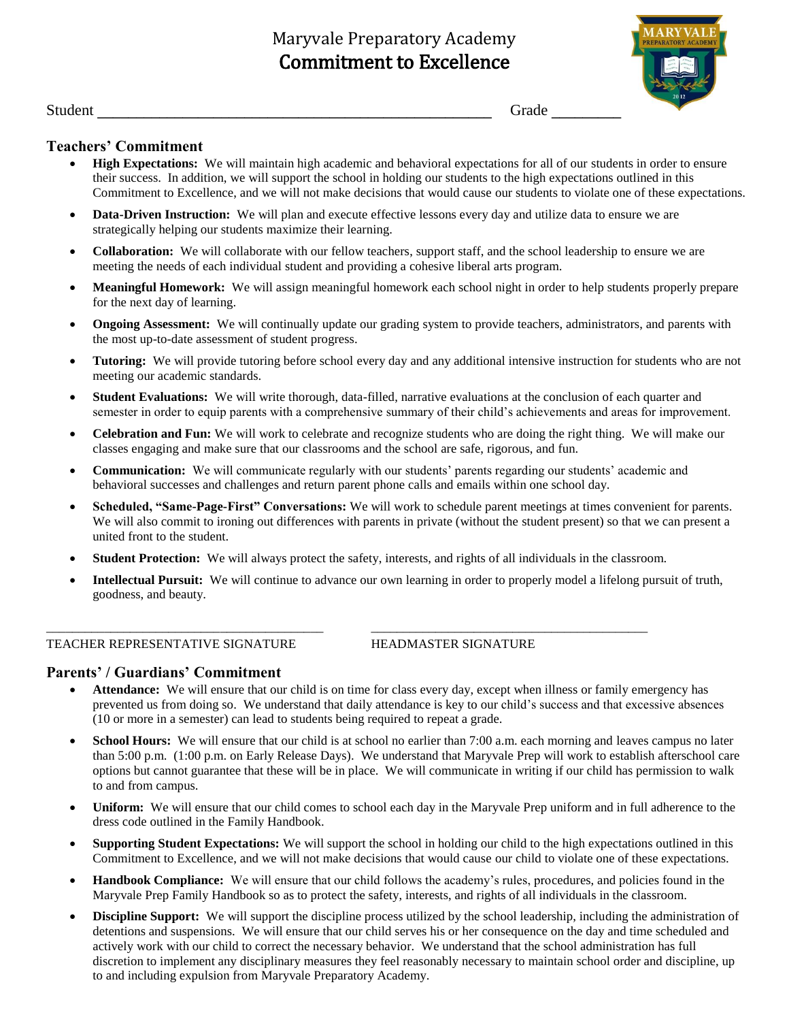# Maryvale Preparatory Academy Commitment to Excellence



Student **Letters Crack Crack Crack Crack Crack Crack Crack Crack Crack Crack Crack Crack Crack Crack Crack Crack Crack Crack Crack Crack Crack Crack Crack Crack Crack Cra** 

## **Teachers' Commitment**

- **High Expectations:** We will maintain high academic and behavioral expectations for all of our students in order to ensure their success. In addition, we will support the school in holding our students to the high expectations outlined in this Commitment to Excellence, and we will not make decisions that would cause our students to violate one of these expectations.
- **Data-Driven Instruction:** We will plan and execute effective lessons every day and utilize data to ensure we are strategically helping our students maximize their learning.
- **Collaboration:** We will collaborate with our fellow teachers, support staff, and the school leadership to ensure we are meeting the needs of each individual student and providing a cohesive liberal arts program.
- **Meaningful Homework:** We will assign meaningful homework each school night in order to help students properly prepare for the next day of learning.
- **Ongoing Assessment:** We will continually update our grading system to provide teachers, administrators, and parents with the most up-to-date assessment of student progress.
- **Tutoring:** We will provide tutoring before school every day and any additional intensive instruction for students who are not meeting our academic standards.
- **Student Evaluations:** We will write thorough, data-filled, narrative evaluations at the conclusion of each quarter and semester in order to equip parents with a comprehensive summary of their child's achievements and areas for improvement.
- **Celebration and Fun:** We will work to celebrate and recognize students who are doing the right thing. We will make our classes engaging and make sure that our classrooms and the school are safe, rigorous, and fun.
- **Communication:** We will communicate regularly with our students' parents regarding our students' academic and behavioral successes and challenges and return parent phone calls and emails within one school day.
- **Scheduled, "Same-Page-First" Conversations:** We will work to schedule parent meetings at times convenient for parents. We will also commit to ironing out differences with parents in private (without the student present) so that we can present a united front to the student.
- **Student Protection:** We will always protect the safety, interests, and rights of all individuals in the classroom.

\_\_\_\_\_\_\_\_\_\_\_\_\_\_\_\_\_\_\_\_\_\_\_\_\_\_\_\_\_\_\_\_\_\_\_\_\_\_\_\_\_\_\_ \_\_\_\_\_\_\_\_\_\_\_\_\_\_\_\_\_\_\_\_\_\_\_\_\_\_\_\_\_\_\_\_\_\_\_\_\_\_\_\_\_\_\_

 **Intellectual Pursuit:** We will continue to advance our own learning in order to properly model a lifelong pursuit of truth, goodness, and beauty.

#### TEACHER REPRESENTATIVE SIGNATURE HEADMASTER SIGNATURE

## **Parents' / Guardians' Commitment**

- **Attendance:** We will ensure that our child is on time for class every day, except when illness or family emergency has prevented us from doing so. We understand that daily attendance is key to our child's success and that excessive absences (10 or more in a semester) can lead to students being required to repeat a grade.
- **School Hours:** We will ensure that our child is at school no earlier than 7:00 a.m. each morning and leaves campus no later than 5:00 p.m. (1:00 p.m. on Early Release Days). We understand that Maryvale Prep will work to establish afterschool care options but cannot guarantee that these will be in place. We will communicate in writing if our child has permission to walk to and from campus.
- **Uniform:** We will ensure that our child comes to school each day in the Maryvale Prep uniform and in full adherence to the dress code outlined in the Family Handbook.
- **Supporting Student Expectations:** We will support the school in holding our child to the high expectations outlined in this Commitment to Excellence, and we will not make decisions that would cause our child to violate one of these expectations.
- **Handbook Compliance:** We will ensure that our child follows the academy's rules, procedures, and policies found in the Maryvale Prep Family Handbook so as to protect the safety, interests, and rights of all individuals in the classroom.
- **Discipline Support:** We will support the discipline process utilized by the school leadership, including the administration of detentions and suspensions. We will ensure that our child serves his or her consequence on the day and time scheduled and actively work with our child to correct the necessary behavior. We understand that the school administration has full discretion to implement any disciplinary measures they feel reasonably necessary to maintain school order and discipline, up to and including expulsion from Maryvale Preparatory Academy.